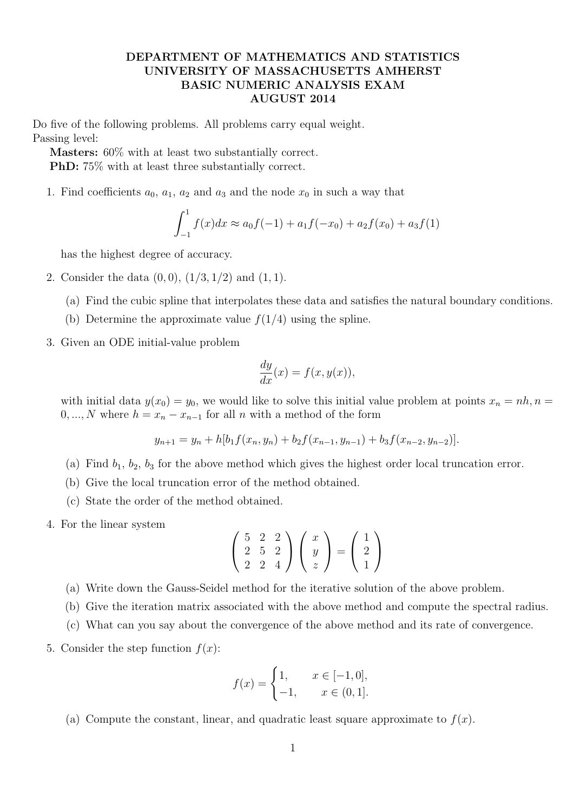## **DEPARTMENT OF MATHEMATICS AND STATISTICS UNIVERSITY OF MASSACHUSETTS AMHERST BASIC NUMERIC ANALYSIS EXAM AUGUST 2014**

Do five of the following problems. All problems carry equal weight. Passing level:

**Masters:** 60% with at least two substantially correct.

**PhD:** 75% with at least three substantially correct.

1. Find coefficients  $a_0$ ,  $a_1$ ,  $a_2$  and  $a_3$  and the node  $x_0$  in such a way that

$$
\int_{-1}^{1} f(x)dx \approx a_0 f(-1) + a_1 f(-x_0) + a_2 f(x_0) + a_3 f(1)
$$

has the highest degree of accuracy.

- 2. Consider the data (0*,* 0), (1*/*3*,* 1*/*2) and (1*,* 1).
	- (a) Find the cubic spline that interpolates these data and satisfies the natural boundary conditions.
	- (b) Determine the approximate value  $f(1/4)$  using the spline.
- 3. Given an ODE initial-value problem

$$
\frac{dy}{dx}(x) = f(x, y(x)),
$$

with initial data  $y(x_0) = y_0$ , we would like to solve this initial value problem at points  $x_n = nh$ ,  $n =$ 0, ..., N where  $h = x_n - x_{n-1}$  for all *n* with a method of the form

$$
y_{n+1} = y_n + h[b_1 f(x_n, y_n) + b_2 f(x_{n-1}, y_{n-1}) + b_3 f(x_{n-2}, y_{n-2})].
$$

- (a) Find  $b_1$ ,  $b_2$ ,  $b_3$  for the above method which gives the highest order local truncation error.
- (b) Give the local truncation error of the method obtained.
- (c) State the order of the method obtained.
- 4. For the linear system

$$
\left(\begin{array}{ccc} 5 & 2 & 2 \\ 2 & 5 & 2 \\ 2 & 2 & 4 \end{array}\right) \left(\begin{array}{c} x \\ y \\ z \end{array}\right) = \left(\begin{array}{c} 1 \\ 2 \\ 1 \end{array}\right)
$$

- (a) Write down the Gauss-Seidel method for the iterative solution of the above problem.
- (b) Give the iteration matrix associated with the above method and compute the spectral radius.
- (c) What can you say about the convergence of the above method and its rate of convergence.
- 5. Consider the step function  $f(x)$ :

$$
f(x) = \begin{cases} 1, & x \in [-1, 0], \\ -1, & x \in (0, 1]. \end{cases}
$$

(a) Compute the constant, linear, and quadratic least square approximate to  $f(x)$ .